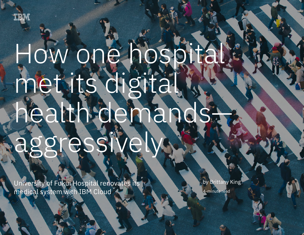

# How one hospital! met its digital health demands aggressivel

 $U$  is medical renovation of  $\mathbb{E}[V]$  is medical system with IBM  $\mathbb{E}[V]$ 

University of Fukui Hospital renovates its medical system with IBM Cloud

by Brittany King

4-minute read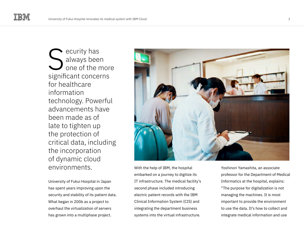ecurity has always been one of the more significant concerns for healthcare information technology. Powerful advancements have been made as of late to tighten up the protection of critical data, including the incorporation of dynamic cloud environments. S

University of Fukui Hospital in Japan has spent years improving upon the security and stability of its patient data. What began in 2006 as a project to overhaul the virtualization of servers has grown into a multiphase project.



With the help of IBM, the hospital embarked on a journey to digitize its IT infrastructure. The medical facility's second phase included introducing electric patient records with the IBM Clinical Information System (CIS) and integrating the department business systems into the virtual infrastructure.

Yoshinori Yamashita, an associate professor for the Department of Medical Informatics at the hospital, explains: "The purpose for digitalization is not managing the machines. It is most important to provide the environment to use the data. It's how to collect and integrate medical information and use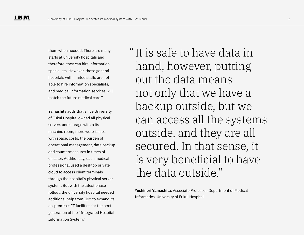them when needed. There are many staffs at university hospitals and therefore, they can hire information specialists. However, those general hospitals with limited staffs are not able to hire information specialists, and medical information services will match the future medical care."

Yamashita adds that since University of Fukui Hospital owned all physical servers and storage within its machine room, there were issues with space, costs, the burden of operational management, data backup and countermeasures in times of disaster. Additionally, each medical professional used a desktop private cloud to access client terminals through the hospital's physical server system. But with the latest phase rollout, the university hospital needed additional help from IBM to expand its on-premises IT facilities for the next generation of the "Integrated Hospital Information System."

It is safe to have data in " hand, however, putting out the data means not only that we have a backup outside, but we can access all the systems outside, and they are all secured. In that sense, it is very beneficial to have the data outside."

**Yoshinori Yamashita**, Associate Professor, Department of Medical Informatics, University of Fukui Hospital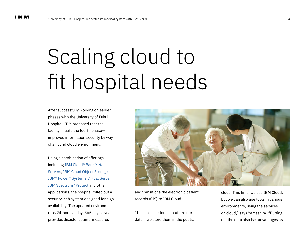## Scaling cloud to fit hospital needs

After successfully working on earlier phases with the University of Fukui Hospital, IBM proposed that the facility initiate the fourth phase improved information security by way of a hybrid cloud environment.

Using a combination of offerings, including [IBM Cloud® Bare Metal](https://www.ibm.com/cloud/bare-metal-servers)  [Servers](https://www.ibm.com/cloud/bare-metal-servers), [IBM Cloud Object Storage,](https://www.ibm.com/cloud/object-storage) [IBM® Power® Systems Virtual Server](https://www.ibm.com/products/power-virtual-server), [IBM Spectrum® Protect](https://www.ibm.com/products/data-protection-and-recovery) and other applications, the hospital rolled out a security-rich system designed for high availability. The updated environment runs 24-hours a day, 365 days a year, provides disaster countermeasures



and transitions the electronic patient records (CIS) to IBM Cloud.

"It is possible for us to utilize the data if we store them in the public cloud. This time, we use IBM Cloud, but we can also use tools in various environments, using the services on cloud," says Yamashita. "Putting out the data also has advantages as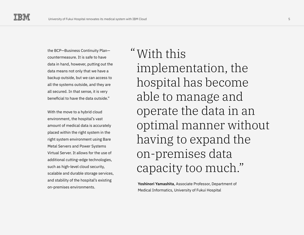the BCP—Business Continuity Plan countermeasure. It is safe to have data in hand, however, putting out the data means not only that we have a backup outside, but we can access to all the systems outside, and they are all secured. In that sense, it is very beneficial to have the data outside."

With the move to a hybrid cloud environment, the hospital's vast amount of medical data is accurately placed within the right system in the right system environment using Bare Metal Servers and Power Systems Virtual Server. It allows for the use of additional cutting-edge technologies, such as high-level cloud security, scalable and durable storage services, and stability of the hospital's existing on-premises environments.

With this " implementation, the hospital has become able to manage and operate the data in an optimal manner without having to expand the on-premises data capacity too much."

**Yoshinori Yamashita**, Associate Professor, Department of Medical Informatics, University of Fukui Hospital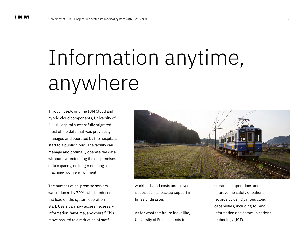## Information anytime, anywhere

Through deploying the IBM Cloud and hybrid cloud components, University of Fukui Hospital successfully migrated most of the data that was previously managed and operated by the hospital's staff to a public cloud. The facility can manage and optimally operate the data without overextending the on-premises data capacity, no longer needing a machine-room environment.

The number of on-premise servers was reduced by 70%, which reduced the load on the system operation staff. Users can now access necessary information "anytime, anywhere." This move has led to a reduction of staff



workloads and costs and solved issues such as backup support in times of disaster.

As for what the future looks like, University of Fukui expects to

streamline operations and improve the safety of patient records by using various cloud capabilities, including IoT and information and communications technology (ICT).